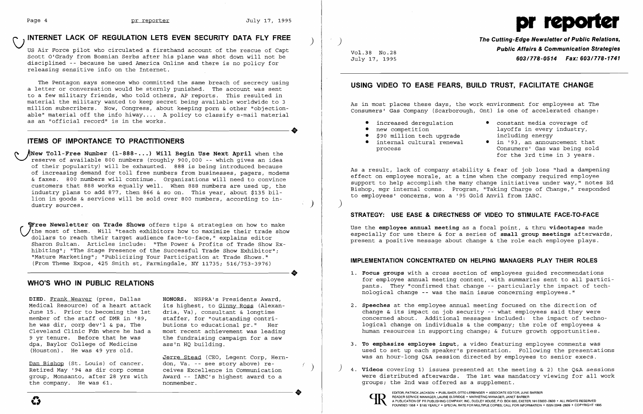# INTERNET LACK OF REGULATION LETS EVEN SECURITY DATA FLY FREE

us Air Force pilot who circulated a firsthand account of the rescue of Capt Scott O'Grady from Bosnian Serbs after his plane was shot down will not be disciplined -- because he used America Online and there is no policy for releasing sensitive info on the Internet.

 ~New **Toll-Free Number (1-888- ... ) Will Begin Use Next April** when the ~"reserve of available 800 numbers (roughly 900,000 -- which gives an idea of their popularity) will be exhausted. 888 is being introduced because of increasing demand for toll free numbers from businesses, pagers, modems & faxes. 800 numbers will continue. Organizations will need to convince customers that 888 works equally well. When 888 numbers are used up, the industry plans to add 877, then 866 & so on. This year, about \$135 billion in goods & services will be sold over 800 numbers, according to industry sources.

The Pentagon says someone who committed the same breach of secrecy using a letter or conversation would be sternly punished. The account was sent to a few military friends, who told others, AP reports. This resulted in material the military wanted to keep secret being available worldwide to 3 million subscribers. Now, Congress, about keeping porn & other "objectionable" material off the info hiway .... A policy to classify e-mail material ----------------------+ as an "official record" is in the works.

#### **ITEMS OF IMPORTANCE TO PRACTITIONERS**

*Free Newsletter on Trade Shows offers tips & strategies on how to make* the most of them. Will "teach exhibitors how to maximize their trade show dollars to reach their target audience face-to-face," explains editor Sharon Sultan. Articles include: "The Power & Profits of Trade Show Ex hibiting"; "The Stage Presence of the Successful Trade Show Exhibitor"; "Mature Marketing"; "Publicizing Your Participation at Trade Shows." ----------------------+ (From Theme EXpos, 425 Smith st, Farmingdale, NY 11735; 516/753-3976)

Jerre Stead (CEO, Legent Corp, Herndon, Va. -- see story above) receives Excellence in Communication Award -- IABC's highest award to a nonmember. group, Monsanto, after 28 yrs with Award -- IABC's highest award to a<br>the company. He was 61. hommember.

- increased deregulation constant media coverage of<br>• new competition layoffs in every industry, layoffs in every industry,<br>including energy
	- internal cultural renewal  $\bullet$  in '93, an announcement that<br>process Consumers' Gas was being sold Consumers' Gas was being sold for the 3rd time in 3 years.

### **WHO'S WHO IN PUBLIC RELATIONS**

**DIED.** Frank Weaver (pres, Dallas Medical Resource) of a heart attack June 15. Prior to becoming the 1st member of the staff of DMR in '89, he was dir, corp dev'l  $\&$  pa, The Cleveland Clinic Fdn where he had a 9 yr tenure. Before that he was dpa, Baylor College of Medicine (Houston). He was 49 yrs old.

Dan Bishop (St. Louis) of cancer. Retired May '94 as dir corp comns group, Monsanto, after 28 yrs with the company. He was 61.

**HONORS.** NSPRA's Presidents Award, its highest, to Ginny Ross (Alexandria, Va), consultant & longtime staffer, for "outstanding contributions to educational pr." Her most recent achievement was leading the fundraising campaign for a new ass'n HQ building.

> EDITOR, PATRICK JACKSON • PUBLISHER, OTTO LERBINGER • ASSOCIATE EDITOR, JUNE BARBER<br>
> PEADER SERVICE MANAGER, LAURIE ELDRIDGE • MARKETING MANAGER, JANET BARBER<br>
> PUBLICATION OF PR PUBLISHING COMPANY, INC., DUDLEY HOUSE, P.O. READER SERVICE MANAGER, LAURIE ELDRIDGE· MARKETING MANAGER, JANET BARBER



)

 $\sim$   $\sim$ 

Vol.38 No.28 July 17, 1995



**The Cutting-Edge Newsletter of Public Relations, Public Affairs & Communication Strategies 603/778-0514 Fax: 603/778-1741** 

## **USING VIDEO TO EASE FEARS, BUILD TRUST, FACILITATE CHANGE**

As in most places these days, the work environment for employees at The Consumers' Gas Company (Scarborough, Ont) is one of accelerated change:

- 
- 
- \$90 million tech upgrade<br>• internal cultural renewal

As a result, lack of company stability & fear of job loss "had a dampening effect on employee morale, at a time when the company required employee support to help accomplish the many change initiatives under way," notes Ed Bishop, mgr internal comns. Program, "Taking Charge of Change," responded to employees' concerns, won a '95 Gold Anvil from IABC.

)

#### **STRATEGY: USE EASE & DIRECTNESS OF VIDEO TO STIMULATE FACE-TO-FACE**

Use the **employee annual meeting** as a focal point, & thru **videotapes** made especially for use there & for a series of **small group meetings** afterwards, present a positive message about change & the role each employee plays.

## **IMPLEMENTATION CONCENTRATED ON HELPING MANAGERS PLAY THEIR ROLES**

1. **Focus groups** with a cross section of employees guided recommendations for employee annual meeting content, with summaries sent to all participants. They "confirmed that change -- particularly the impact of tech-

change & its impact on job security -- what employees said they were concerned about. Additional messages included: the impact of technological change on individuals & the company; the role of employees & human resources in supporting change; & future growth opportunities.

- nological change -- was the main issue concerning employees."
- 2. **Speeches** at the employee annual meeting focused on the direction of
- 3. **To emphasize employee input,** a video featuring employee comments was
- groups; the 2nd was offered as a supplement.



 $\left( \begin{array}{c} \end{array} \right)$ 

used to set up each speaker's presentation. Following the presentations was an hour-long Q&A session directed by employees to senior execs.

) 4. **Videos** covering 1) issues presented at the meeting & 2) the Q&A sessions were distributed afterwards. The 1st was mandatory viewing for all work